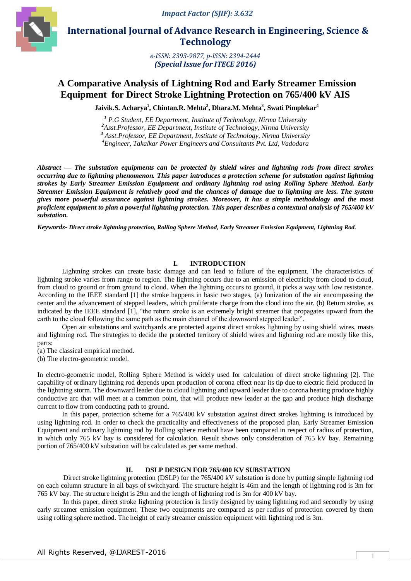

 **International Journal of Advance Research in Engineering, Science & Technology** 

> *e-ISSN: 2393-9877, p-ISSN: 2394-2444 (Special Issue for ITECE 2016)*

# **A Comparative Analysis of Lightning Rod and Early Streamer Emission Equipment for Direct Stroke Lightning Protection on 765/400 kV AIS**

**Jaivik.S. Acharya<sup>1</sup> , Chintan.R. Mehta<sup>2</sup> , Dhara.M. Mehta<sup>3</sup> , Swati Pimplekar<sup>4</sup>**

 *P.G Student, EE Department, Institute of Technology, Nirma University Asst.Professor, EE Department, Institute of Technology, Nirma University Asst.Professor, EE Department, Institute of Technology, Nirma University Engineer, Takalkar Power Engineers and Consultants Pvt. Ltd, Vadodara*

*Abstract* **—** *The substation equipments can be protected by shield wires and lightning rods from direct strokes occurring due to lightning phenomenon. This paper introduces a protection scheme for substation against lightning strokes by Early Streamer Emission Equipment and ordinary lightning rod using Rolling Sphere Method. Early Streamer Emission Equipment is relatively good and the chances of damage due to lightning are less. The system gives more powerful assurance against lightning strokes. Moreover, it has a simple methodology and the most proficient equipment to plan a powerful lightning protection. This paper describes a contextual analysis of 765/400 kV substation.*

*Keywords- Direct stroke lightning protection, Rolling Sphere Method, Early Streamer Emission Equipment, Lightning Rod.*

#### **I. INTRODUCTION**

Lightning strokes can create basic damage and can lead to failure of the equipment. The characteristics of lightning stroke varies from range to region. The lightning occurs due to an emission of electricity from cloud to cloud, from cloud to ground or from ground to cloud. When the lightning occurs to ground, it picks a way with low resistance. According to the IEEE standard [1] the stroke happens in basic two stages, (a) Ionization of the air encompassing the center and the advancement of stepped leaders, which proliferate charge from the cloud into the air. (b) Return stroke, as indicated by the IEEE standard [1], "the return stroke is an extremely bright streamer that propagates upward from the earth to the cloud following the same path as the main channel of the downward stepped leader".

Open air substations and switchyards are protected against direct strokes lightning by using shield wires, masts and lightning rod. The strategies to decide the protected territory of shield wires and lightning rod are mostly like this, parts:

(a) The classical empirical method.

(b) The electro-geometric model.

In electro-geometric model, Rolling Sphere Method is widely used for calculation of direct stroke lightning [2]. The capability of ordinary lightning rod depends upon production of corona effect near its tip due to electric field produced in the lightning storm. The downward leader due to cloud lightning and upward leader due to corona heating produce highly conductive arc that will meet at a common point, that will produce new leader at the gap and produce high discharge current to flow from conducting path to ground.

In this paper, protection scheme for a 765/400 kV substation against direct strokes lightning is introduced by using lightning rod. In order to check the practicality and effectiveness of the proposed plan, Early Streamer Emission Equipment and ordinary lightning rod by Rolling sphere method have been compared in respect of radius of protection, in which only 765 kV bay is considered for calculation. Result shows only consideration of 765 kV bay. Remaining portion of 765/400 kV substation will be calculated as per same method.

#### **II. DSLP DESIGN FOR 765/400 KV SUBSTATION**

Direct stroke lightning protection (DSLP) for the 765/400 kV substation is done by putting simple lightning rod on each column structure in all bays of switchyard. The structure height is 46m and the length of lightning rod is 3m for 765 kV bay. The structure height is 29m and the length of lightning rod is 3m for 400 kV bay.

 In this paper, direct stroke lightning protection is firstly designed by using lightning rod and secondly by using early streamer emission equipment. These two equipments are compared as per radius of protection covered by them using rolling sphere method. The height of early streamer emission equipment with lightning rod is 3m.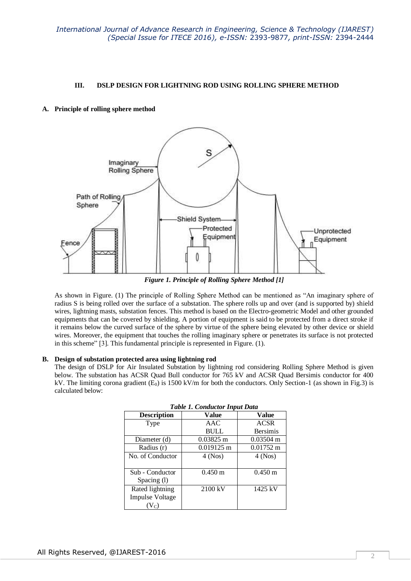# **III. DSLP DESIGN FOR LIGHTNING ROD USING ROLLING SPHERE METHOD**

## **A. Principle of rolling sphere method**



*Figure 1. Principle of Rolling Sphere Method [1]*

As shown in Figure. (1) The principle of Rolling Sphere Method can be mentioned as "An imaginary sphere of radius S is being rolled over the surface of a substation. The sphere rolls up and over (and is supported by) shield wires, lightning masts, substation fences. This method is based on the Electro-geometric Model and other grounded equipments that can be covered by shielding. A portion of equipment is said to be protected from a direct stroke if it remains below the curved surface of the sphere by virtue of the sphere being elevated by other device or shield wires. Moreover, the equipment that touches the rolling imaginary sphere or penetrates its surface is not protected in this scheme" [3]. This fundamental principle is represented in Figure. (1).

## **B. Design of substation protected area using lightning rod**

The design of DSLP for Air Insulated Substation by lightning rod considering Rolling Sphere Method is given below. The substation has ACSR Quad Bull conductor for 765 kV and ACSR Quad Bersimis conductor for 400 kV. The limiting corona gradient  $(E_0)$  is 1500 kV/m for both the conductors. Only Section-1 (as shown in Fig.3) is calculated below:

| Table 1. Conductor Input Dala |                      |                     |  |
|-------------------------------|----------------------|---------------------|--|
| <b>Description</b>            | Value                | Value               |  |
| Type                          | AAC                  | <b>ACSR</b>         |  |
|                               | <b>BULL</b>          | <b>Bersimis</b>     |  |
| Diameter (d)                  | $0.03825 \text{ m}$  | $0.03504 \text{ m}$ |  |
| Radius (r)                    | $0.019125 \text{ m}$ | $0.01752 \text{ m}$ |  |
| No. of Conductor              | $4$ (Nos)            | $4$ (Nos)           |  |
|                               |                      |                     |  |
| Sub - Conductor               | $0.450 \text{ m}$    | $0.450 \text{ m}$   |  |
| Spacing (1)                   |                      |                     |  |
| Rated lightning               | 2100 kV              | 1425 kV             |  |
| <b>Impulse Voltage</b>        |                      |                     |  |
| $V_C$                         |                      |                     |  |

|  | <b>Table 1. Conductor Input Data</b> |  |
|--|--------------------------------------|--|
|  |                                      |  |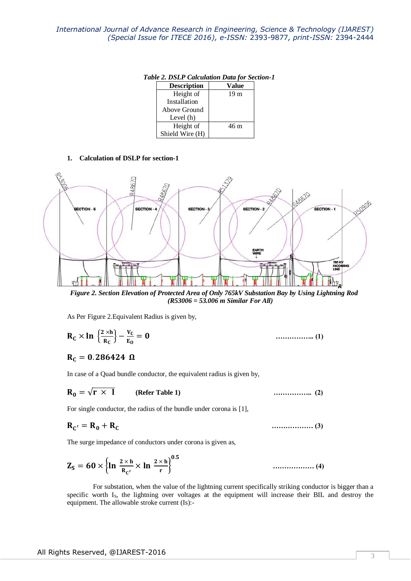*Table 2. DSLP Calculation Data for Section-1*

| <b>Description</b> | Value           |
|--------------------|-----------------|
| Height of          | 19 <sub>m</sub> |
| Installation       |                 |
| Above Ground       |                 |
| Level $(h)$        |                 |
| Height of          | 46 m            |
| Shield Wire (H)    |                 |

#### **1. Calculation of DSLP for section-1**



*Figure 2. Section Elevation of Protected Area of Only 765kV Substation Bay by Using Lightning Rod (R53006 = 53.006 m Similar For All)*

As Per Figure 2.Equivalent Radius is given by,

$$
\mathbf{R}_{\mathbf{C}} \times \ln \left\{ \frac{2 \times \mathbf{h}}{\mathbf{R}_{\mathbf{C}}} \right\} - \frac{\mathbf{v}_{\mathbf{C}}}{\mathbf{E}_{\mathbf{0}}} = \mathbf{0} \qquad \qquad \dots \dots \dots \dots \dots \dots \dots \dots \tag{1}
$$

# $R_C = 0.286424 \Omega$

In case of a Quad bundle conductor, the equivalent radius is given by,

√ **(Refer Table 1) …………….. (2)**

For single conductor, the radius of the bundle under corona is [1],

$$
\mathbf{R}_{\mathbf{C}'} = \mathbf{R}_0 + \mathbf{R}_{\mathbf{C}} \tag{3}
$$

The surge impedance of conductors under corona is given as,

$$
Z_S = 60 \times \left\{ \ln \frac{2 \times h}{R_{C'}} \times \ln \frac{2 \times h}{r} \right\}^{0.5}
$$

 For substation, when the value of the lightning current specifically striking conductor is bigger than a specific worth I<sub>S</sub>, the lightning over voltages at the equipment will increase their BIL and destroy the equipment. The allowable stroke current (Is):-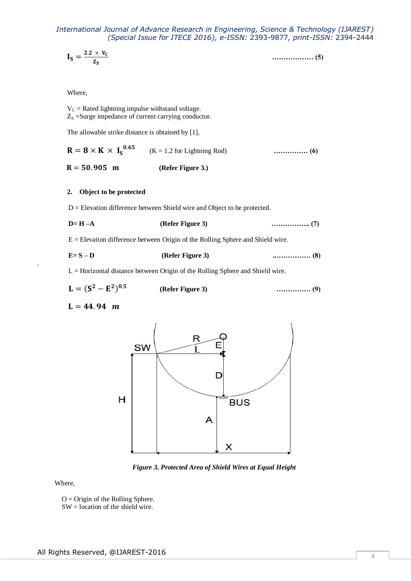$$
I_S = \frac{2.2 \times V_C}{Z_S} \tag{5}
$$

#### Where,

 $V<sub>C</sub>$  = Rated lightning impulse withstand voltage.  $Z_s$  =Surge impedance of current carrying conductor.

The allowable strike distance is obtained by [1],

 $R = 8 \times K \times I_S^0$  (K = 1.2 for Lightning Rod) **…………… (6)**   $R = 50.905$  m (Refer Figure 3.)

## **2. Object to be protected**

D = Elevation difference between Shield wire and Object to be protected.

$$
D=H-A
$$
 (Refer Figure 3) (7)

 $E =$  Elevation difference between Origin of the Rolling Sphere and Shield wire.

| $E = S - D$ | (Refer Figure 3) |  |
|-------------|------------------|--|
|-------------|------------------|--|

L = Horizontal distance between Origin of the Rolling Sphere and Shield wire.

$$
L = (S2 - E2)0.5
$$
 (Refer Figure 3) ....... (9)

 $L = 44.94 m$ 

.



*Figure 3. Protected Area of Shield Wires at Equal Height*

Where,

 $O =$  Origin of the Rolling Sphere. SW = location of the shield wire.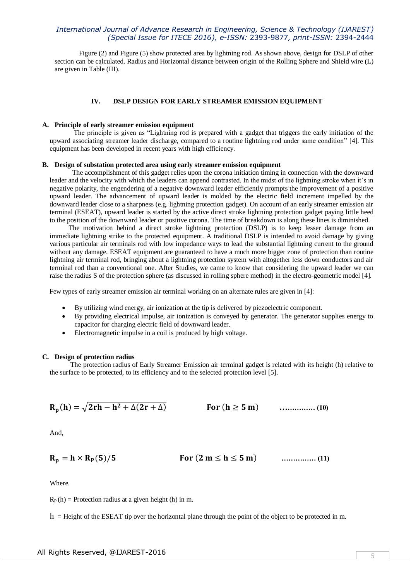Figure (2) and Figure (5) show protected area by lightning rod. As shown above, design for DSLP of other section can be calculated. Radius and Horizontal distance between origin of the Rolling Sphere and Shield wire (L) are given in Table (III).

## **IV. DSLP DESIGN FOR EARLY STREAMER EMISSION EQUIPMENT**

#### **A. Principle of early streamer emission equipment**

 The principle is given as "Lightning rod is prepared with a gadget that triggers the early initiation of the upward associating streamer leader discharge, compared to a routine lightning rod under same condition" [4]. This equipment has been developed in recent years with high efficiency.

## **B. Design of substation protected area using early streamer emission equipment**

 The accomplishment of this gadget relies upon the corona initiation timing in connection with the downward leader and the velocity with which the leaders can append contrasted. In the midst of the lightning stroke when it's in negative polarity, the engendering of a negative downward leader efficiently prompts the improvement of a positive upward leader. The advancement of upward leader is molded by the electric field increment impelled by the downward leader close to a sharpness (e.g. lightning protection gadget). On account of an early streamer emission air terminal (ESEAT), upward leader is started by the active direct stroke lightning protection gadget paying little heed to the position of the downward leader or positive corona. The time of breakdown is along these lines is diminished.

 The motivation behind a direct stroke lightning protection (DSLP) is to keep lesser damage from an immediate lightning strike to the protected equipment. A traditional DSLP is intended to avoid damage by giving various particular air terminals rod with low impedance ways to lead the substantial lightning current to the ground without any damage. ESEAT equipment are guaranteed to have a much more bigger zone of protection than routine lightning air terminal rod, bringing about a lightning protection system with altogether less down conductors and air terminal rod than a conventional one. After Studies, we came to know that considering the upward leader we can raise the radius S of the protection sphere (as discussed in rolling sphere method) in the electro-geometric model [4].

Few types of early streamer emission air terminal working on an alternate rules are given in [4]:

- By utilizing wind energy, air ionization at the tip is delivered by piezoelectric component.
- By providing electrical impulse, air ionization is conveyed by generator. The generator supplies energy to capacitor for charging electric field of downward leader.
- Electromagnetic impulse in a coil is produced by high voltage.

#### **C. Design of protection radius**

 The protection radius of Early Streamer Emission air terminal gadget is related with its height (h) relative to the surface to be protected, to its efficiency and to the selected protection level [5].

$$
R_p(h) = \sqrt{2rh - h^2 + \Delta(2r + \Delta)}
$$
 For  $(h \ge 5 \text{ m})$  ....... (10)

And,

( ) ( ) **…………… (11)**

Where.

 $R_P(h)$  = Protection radius at a given height (h) in m.

 $h =$  Height of the ESEAT tip over the horizontal plane through the point of the object to be protected in m.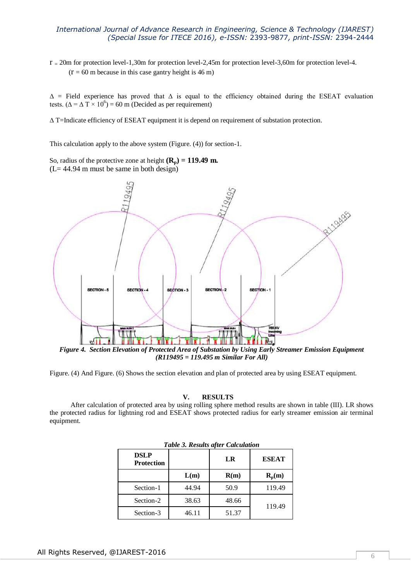r <sup>=</sup> 20m for protection level-1,30m for protection level-2,45m for protection level-3,60m for protection level-4.  $(r = 60 \text{ m}$  because in this case gantry height is 46 m)

 $\Delta$  = Field experience has proved that  $\Delta$  is equal to the efficiency obtained during the ESEAT evaluation tests. ( $\Delta = \Delta T \times 10^6$ ) = 60 m (Decided as per requirement)

∆ T=Indicate efficiency of ESEAT equipment it is depend on requirement of substation protection.

This calculation apply to the above system (Figure. (4)) for section-1.

So, radius of the protective zone at height  $(\mathbf{R}_p) = 119.49 \text{ m}$ . (L= 44.94 m must be same in both design)



Figure. (4) And Figure. (6) Shows the section elevation and plan of protected area by using ESEAT equipment.

**V. RESULTS**

 After calculation of protected area by using rolling sphere method results are shown in table (III). LR shows the protected radius for lightning rod and ESEAT shows protected radius for early streamer emission air terminal equipment.

| <b>DSLP</b><br><b>Protection</b> |       | LR    | <b>ESEAT</b> |
|----------------------------------|-------|-------|--------------|
|                                  | L(m)  | R(m)  | $R_p(m)$     |
| Section-1                        | 44.94 | 50.9  | 119.49       |
| Section-2                        | 38.63 | 48.66 | 119.49       |
| Section-3                        | 46.11 | 51.37 |              |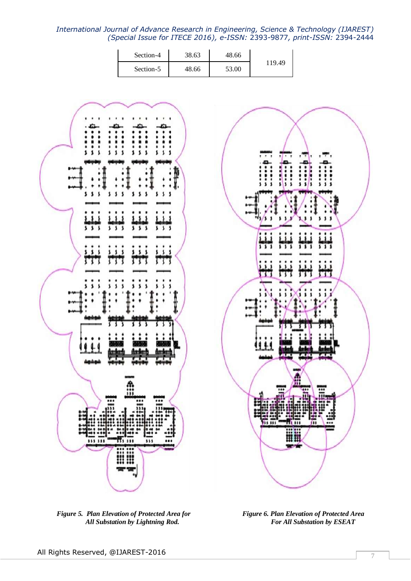| Section-4 | 38.63 | 48.66 |        |
|-----------|-------|-------|--------|
| Section-5 | 48.66 | 53.00 | 119.49 |



*Figure* 5. Plan Elevation of Protected Area for Figure 6. Plan Elevation of Protected Area **All Substation by Lightning Rod.** For All Substation by ESEAT *All Substation by Lightning Rod.* 



mi m

用罪

m